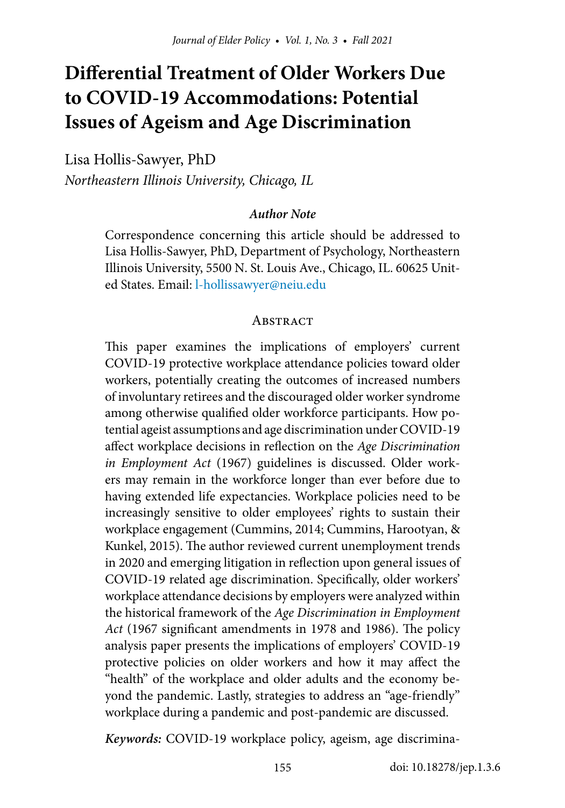# **Differential Treatment of Older Workers Due to COVID-19 Accommodations: Potential Issues of Ageism and Age Discrimination**

Lisa Hollis-Sawyer, PhD

*Northeastern Illinois University, Chicago, IL*

#### *Author Note*

Correspondence concerning this article should be addressed to Lisa Hollis-Sawyer, PhD, Department of Psychology, Northeastern Illinois University, 5500 N. St. Louis Ave., Chicago, IL. 60625 United States. Email: [l-hollissawyer@neiu.edu](mailto:l-hollissawyer%40neiu.edu?subject=)

#### **ABSTRACT**

This paper examines the implications of employers' current COVID-19 protective workplace attendance policies toward older workers, potentially creating the outcomes of increased numbers of involuntary retirees and the discouraged older worker syndrome among otherwise qualified older workforce participants. How potential ageist assumptions and age discrimination under COVID-19 affect workplace decisions in reflection on the *Age Discrimination in Employment Act* (1967) guidelines is discussed. Older workers may remain in the workforce longer than ever before due to having extended life expectancies. Workplace policies need to be increasingly sensitive to older employees' rights to sustain their workplace engagement (Cummins, 2014; Cummins, Harootyan, & Kunkel, 2015). The author reviewed current unemployment trends in 2020 and emerging litigation in reflection upon general issues of COVID-19 related age discrimination. Specifically, older workers' workplace attendance decisions by employers were analyzed within the historical framework of the *Age Discrimination in Employment Act* (1967 significant amendments in 1978 and 1986). The policy analysis paper presents the implications of employers' COVID-19 protective policies on older workers and how it may affect the "health" of the workplace and older adults and the economy beyond the pandemic. Lastly, strategies to address an "age-friendly" workplace during a pandemic and post-pandemic are discussed.

*Keywords:* COVID-19 workplace policy, ageism, age discrimina-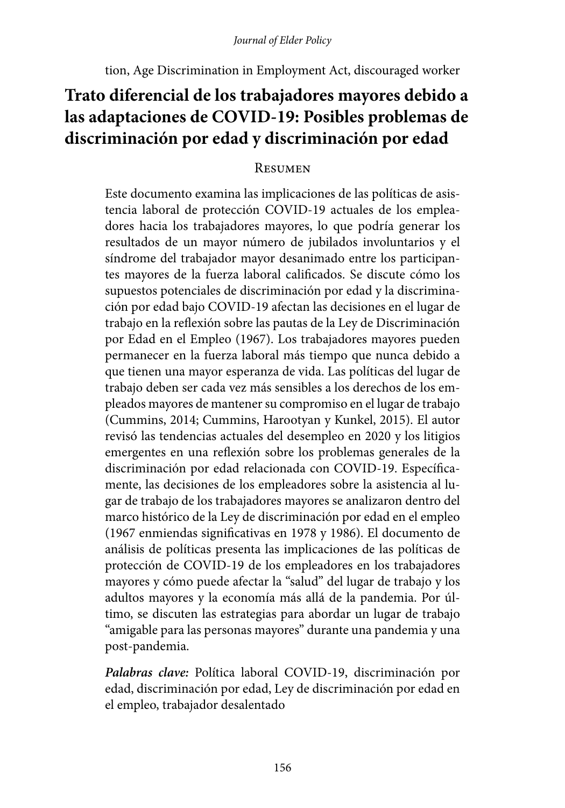tion, Age Discrimination in Employment Act, discouraged worker

## **Trato diferencial de los trabajadores mayores debido a las adaptaciones de COVID-19: Posibles problemas de discriminación por edad y discriminación por edad**

### **RESUMEN**

Este documento examina las implicaciones de las políticas de asistencia laboral de protección COVID-19 actuales de los empleadores hacia los trabajadores mayores, lo que podría generar los resultados de un mayor número de jubilados involuntarios y el síndrome del trabajador mayor desanimado entre los participantes mayores de la fuerza laboral calificados. Se discute cómo los supuestos potenciales de discriminación por edad y la discriminación por edad bajo COVID-19 afectan las decisiones en el lugar de trabajo en la reflexión sobre las pautas de la Ley de Discriminación por Edad en el Empleo (1967). Los trabajadores mayores pueden permanecer en la fuerza laboral más tiempo que nunca debido a que tienen una mayor esperanza de vida. Las políticas del lugar de trabajo deben ser cada vez más sensibles a los derechos de los empleados mayores de mantener su compromiso en el lugar de trabajo (Cummins, 2014; Cummins, Harootyan y Kunkel, 2015). El autor revisó las tendencias actuales del desempleo en 2020 y los litigios emergentes en una reflexión sobre los problemas generales de la discriminación por edad relacionada con COVID-19. Específicamente, las decisiones de los empleadores sobre la asistencia al lugar de trabajo de los trabajadores mayores se analizaron dentro del marco histórico de la Ley de discriminación por edad en el empleo (1967 enmiendas significativas en 1978 y 1986). El documento de análisis de políticas presenta las implicaciones de las políticas de protección de COVID-19 de los empleadores en los trabajadores mayores y cómo puede afectar la "salud" del lugar de trabajo y los adultos mayores y la economía más allá de la pandemia. Por último, se discuten las estrategias para abordar un lugar de trabajo "amigable para las personas mayores" durante una pandemia y una post-pandemia.

*Palabras clave:* Política laboral COVID-19, discriminación por edad, discriminación por edad, Ley de discriminación por edad en el empleo, trabajador desalentado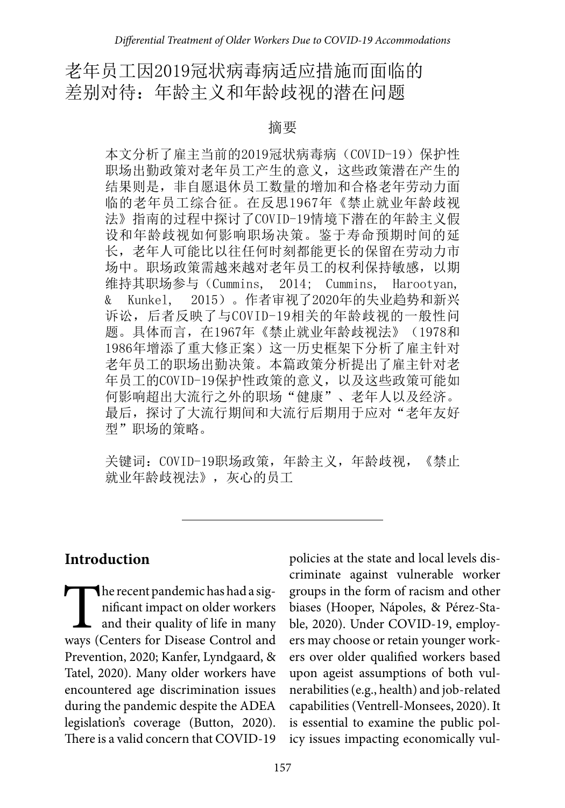## 老年员工因2019冠状病毒病适应措施而面临的 差别对待:年龄主义和年龄歧视的潜在问题

#### 摘要

本文分析了雇主当前的2019冠状病毒病 (COVID-19) 保护性 职场出勤政策对老年员工产生的意义,这些政策潜在产生的 结果则是,非自愿退休员工数量的增加和合格老年劳动力面 临的老年员工综合征。在反思1967年《禁止就业年龄歧视 法》指南的过程中探讨了COVID-19情境下潜在的年龄主义假 设和年龄歧视如何影响职场决策。鉴于寿命预期时间的延 长,老年人可能比以往任何时刻都能更长的保留在劳动力市 场中。职场政策需越来越对老年员工的权利保持敏感,以期 维持其职场参与(Cummins, 2014; Cummins, Harootyan, & Kunkel, 2015)。作者审视了2020年的失业趋势和新兴 诉讼,后者反映了与COVID-19相关的年龄歧视的一般性问 题。具体而言,在1967年《禁止就业年龄歧视法》(1978和 1986年增添了重大修正案)这一历史框架下分析了雇主针对 老年员工的职场出勤决策。本篇政策分析提出了雇主针对老 年员工的COVID-19保护性政策的意义,以及这些政策可能如 何影响超出大流行之外的职场"健康"、老年人以及经济。 最后,探讨了大流行期间和大流行后期用于应对"老年友好 型"职场的策略。

关键词:COVID-19职场政策,年龄主义,年龄歧视,《禁止 就业年龄歧视法》,灰心的员工

### **Introduction**

The recent pandemic has had a significant impact on older workers<br>and their quality of life in many<br>wavs (Centers for Disease Control and nificant impact on older workers and their quality of life in many ways (Centers for Disease Control and Prevention, 2020; Kanfer, Lyndgaard, & Tatel, 2020). Many older workers have encountered age discrimination issues during the pandemic despite the ADEA legislation's coverage (Button, 2020). There is a valid concern that COVID-19

policies at the state and local levels discriminate against vulnerable worker groups in the form of racism and other biases (Hooper, Nápoles, & Pérez-Stable, 2020). Under COVID-19, employers may choose or retain younger workers over older qualified workers based upon ageist assumptions of both vulnerabilities (e.g., health) and job-related capabilities (Ventrell-Monsees, 2020). It is essential to examine the public policy issues impacting economically vul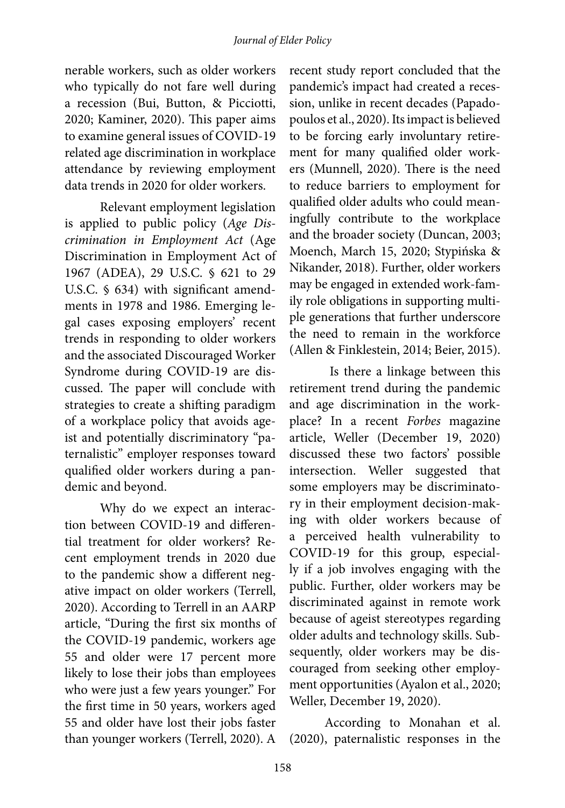nerable workers, such as older workers who typically do not fare well during a recession (Bui, Button, & Picciotti, 2020; Kaminer, 2020). This paper aims to examine general issues of COVID-19 related age discrimination in workplace attendance by reviewing employment data trends in 2020 for older workers.

Relevant employment legislation is applied to public policy (*Age Discrimination in Employment Act* (Age Discrimination in Employment Act of 1967 (ADEA), 29 U.S.C. § 621 to 29 U.S.C. § 634) with significant amendments in 1978 and 1986. Emerging legal cases exposing employers' recent trends in responding to older workers and the associated Discouraged Worker Syndrome during COVID-19 are discussed. The paper will conclude with strategies to create a shifting paradigm of a workplace policy that avoids ageist and potentially discriminatory "paternalistic" employer responses toward qualified older workers during a pandemic and beyond.

Why do we expect an interaction between COVID-19 and differential treatment for older workers? Recent employment trends in 2020 due to the pandemic show a different negative impact on older workers (Terrell, 2020). According to Terrell in an AARP article, "During the first six months of the COVID-19 pandemic, workers age 55 and older were 17 percent more likely to lose their jobs than employees who were just a few years younger." For the first time in 50 years, workers aged 55 and older have lost their jobs faster than younger workers (Terrell, 2020). A

recent study report concluded that the pandemic's impact had created a recession, unlike in recent decades (Papadopoulos et al., 2020). Its impact is believed to be forcing early involuntary retirement for many qualified older workers (Munnell, 2020). There is the need to reduce barriers to employment for qualified older adults who could meaningfully contribute to the workplace and the broader society (Duncan, 2003; Moench, March 15, 2020; Stypińska & Nikander, 2018). Further, older workers may be engaged in extended work-family role obligations in supporting multiple generations that further underscore the need to remain in the workforce (Allen & Finklestein, 2014; Beier, 2015).

Is there a linkage between this retirement trend during the pandemic and age discrimination in the workplace? In a recent *Forbes* magazine article, Weller (December 19, 2020) discussed these two factors' possible intersection. Weller suggested that some employers may be discriminatory in their employment decision-making with older workers because of a perceived health vulnerability to COVID-19 for this group, especially if a job involves engaging with the public. Further, older workers may be discriminated against in remote work because of ageist stereotypes regarding older adults and technology skills. Subsequently, older workers may be discouraged from seeking other employment opportunities (Ayalon et al., 2020; Weller, December 19, 2020).

According to Monahan et al. (2020), paternalistic responses in the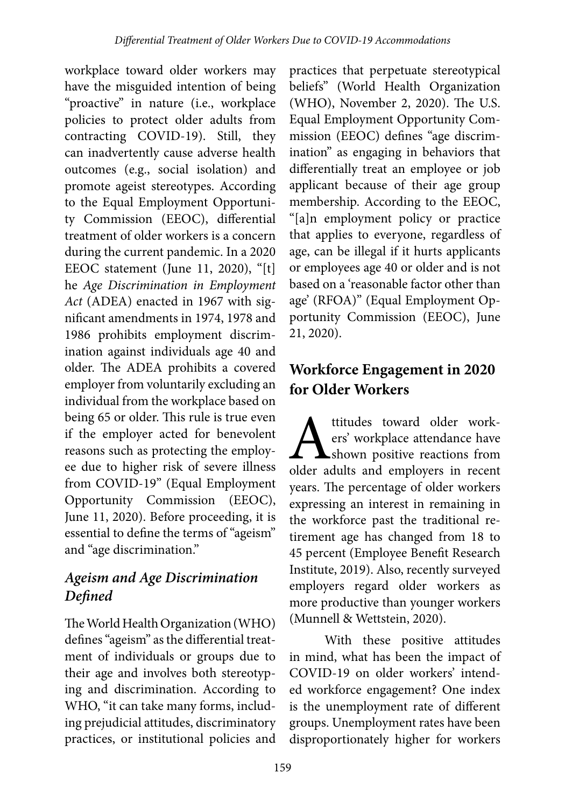workplace toward older workers may have the misguided intention of being "proactive" in nature (i.e., workplace policies to protect older adults from contracting COVID-19). Still, they can inadvertently cause adverse health outcomes (e.g., social isolation) and promote ageist stereotypes. According to the Equal Employment Opportunity Commission (EEOC), differential treatment of older workers is a concern during the current pandemic. In a 2020 EEOC statement (June 11, 2020), "[t] he *Age Discrimination in Employment Act* (ADEA) enacted in 1967 with significant amendments in 1974, 1978 and 1986 prohibits employment discrimination against individuals age 40 and older. The ADEA prohibits a covered employer from voluntarily excluding an individual from the workplace based on being 65 or older. This rule is true even if the employer acted for benevolent reasons such as protecting the employee due to higher risk of severe illness from COVID-19" (Equal Employment Opportunity Commission (EEOC), June 11, 2020). Before proceeding, it is essential to define the terms of "ageism" and "age discrimination."

## *Ageism and Age Discrimination Defined*

The World Health Organization (WHO) defines "ageism" as the differential treatment of individuals or groups due to their age and involves both stereotyping and discrimination. According to WHO, "it can take many forms, including prejudicial attitudes, discriminatory practices, or institutional policies and

practices that perpetuate stereotypical beliefs" (World Health Organization (WHO), November 2, 2020). The U.S. Equal Employment Opportunity Commission (EEOC) defines "age discrimination" as engaging in behaviors that differentially treat an employee or job applicant because of their age group membership. According to the EEOC, "[a]n employment policy or practice that applies to everyone, regardless of age, can be illegal if it hurts applicants or employees age 40 or older and is not based on a 'reasonable factor other than age' (RFOA)" (Equal Employment Opportunity Commission (EEOC), June 21, 2020).

## **Workforce Engagement in 2020 for Older Workers**

titudes toward older work-<br>ers' workplace attendance have<br>older adults and employers in recent ers' workplace attendance have **A**shown positive reactions from older adults and employers in recent years. The percentage of older workers expressing an interest in remaining in the workforce past the traditional retirement age has changed from 18 to 45 percent (Employee Benefit Research Institute, 2019). Also, recently surveyed employers regard older workers as more productive than younger workers (Munnell & Wettstein, 2020).

With these positive attitudes in mind, what has been the impact of COVID-19 on older workers' intended workforce engagement? One index is the unemployment rate of different groups. Unemployment rates have been disproportionately higher for workers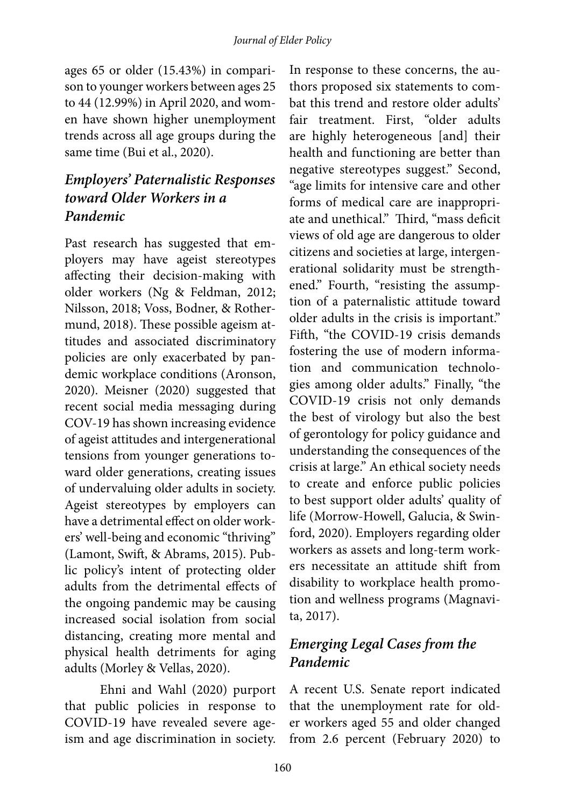ages 65 or older (15.43%) in comparison to younger workers between ages 25 to 44 (12.99%) in April 2020, and women have shown higher unemployment trends across all age groups during the same time (Bui et al., 2020).

### *Employers' Paternalistic Responses toward Older Workers in a Pandemic*

Past research has suggested that employers may have ageist stereotypes affecting their decision-making with older workers (Ng & Feldman, 2012; Nilsson, 2018; Voss, Bodner, & Rothermund, 2018). These possible ageism attitudes and associated discriminatory policies are only exacerbated by pandemic workplace conditions (Aronson, 2020). Meisner (2020) suggested that recent social media messaging during COV-19 has shown increasing evidence of ageist attitudes and intergenerational tensions from younger generations toward older generations, creating issues of undervaluing older adults in society. Ageist stereotypes by employers can have a detrimental effect on older workers' well-being and economic "thriving" (Lamont, Swift, & Abrams, 2015). Public policy's intent of protecting older adults from the detrimental effects of the ongoing pandemic may be causing increased social isolation from social distancing, creating more mental and physical health detriments for aging adults (Morley & Vellas, 2020).

Ehni and Wahl (2020) purport that public policies in response to COVID-19 have revealed severe ageism and age discrimination in society.

In response to these concerns, the authors proposed six statements to combat this trend and restore older adults' fair treatment. First, "older adults are highly heterogeneous [and] their health and functioning are better than negative stereotypes suggest." Second, "age limits for intensive care and other forms of medical care are inappropriate and unethical." Third, "mass deficit views of old age are dangerous to older citizens and societies at large, intergenerational solidarity must be strengthened." Fourth, "resisting the assumption of a paternalistic attitude toward older adults in the crisis is important." Fifth, "the COVID-19 crisis demands fostering the use of modern information and communication technologies among older adults." Finally, "the COVID-19 crisis not only demands the best of virology but also the best of gerontology for policy guidance and understanding the consequences of the crisis at large." An ethical society needs to create and enforce public policies to best support older adults' quality of life (Morrow-Howell, Galucia, & Swinford, 2020). Employers regarding older workers as assets and long-term workers necessitate an attitude shift from disability to workplace health promotion and wellness programs (Magnavita, 2017).

## *Emerging Legal Cases from the Pandemic*

A recent U.S. Senate report indicated that the unemployment rate for older workers aged 55 and older changed from 2.6 percent (February 2020) to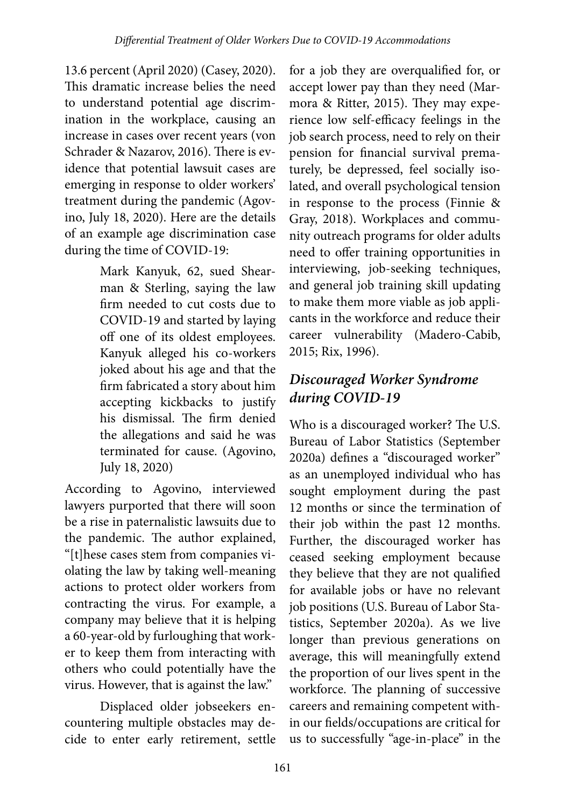13.6 percent (April 2020) (Casey, 2020). This dramatic increase belies the need to understand potential age discrimination in the workplace, causing an increase in cases over recent years (von Schrader & Nazarov, 2016). There is evidence that potential lawsuit cases are emerging in response to older workers' treatment during the pandemic (Agovino, July 18, 2020). Here are the details of an example age discrimination case during the time of COVID-19:

> Mark Kanyuk, 62, sued Shearman & Sterling, saying the law firm needed to cut costs due to COVID-19 and started by laying off one of its oldest employees. Kanyuk alleged his co-workers joked about his age and that the firm fabricated a story about him accepting kickbacks to justify his dismissal. The firm denied the allegations and said he was terminated for cause. (Agovino, July 18, 2020)

According to Agovino, interviewed lawyers purported that there will soon be a rise in paternalistic lawsuits due to the pandemic. The author explained, "[t]hese cases stem from companies violating the law by taking well-meaning actions to protect older workers from contracting the virus. For example, a company may believe that it is helping a 60-year-old by furloughing that worker to keep them from interacting with others who could potentially have the virus. However, that is against the law."

Displaced older jobseekers encountering multiple obstacles may decide to enter early retirement, settle

for a job they are overqualified for, or accept lower pay than they need (Marmora & Ritter, 2015). They may experience low self-efficacy feelings in the job search process, need to rely on their pension for financial survival prematurely, be depressed, feel socially isolated, and overall psychological tension in response to the process (Finnie & Gray, 2018). Workplaces and community outreach programs for older adults need to offer training opportunities in interviewing, job-seeking techniques, and general job training skill updating to make them more viable as job applicants in the workforce and reduce their career vulnerability (Madero-Cabib, 2015; Rix, 1996).

## *Discouraged Worker Syndrome during COVID-19*

Who is a discouraged worker? The U.S. Bureau of Labor Statistics (September 2020a) defines a "discouraged worker" as an unemployed individual who has sought employment during the past 12 months or since the termination of their job within the past 12 months. Further, the discouraged worker has ceased seeking employment because they believe that they are not qualified for available jobs or have no relevant job positions (U.S. Bureau of Labor Statistics, September 2020a). As we live longer than previous generations on average, this will meaningfully extend the proportion of our lives spent in the workforce. The planning of successive careers and remaining competent within our fields/occupations are critical for us to successfully "age-in-place" in the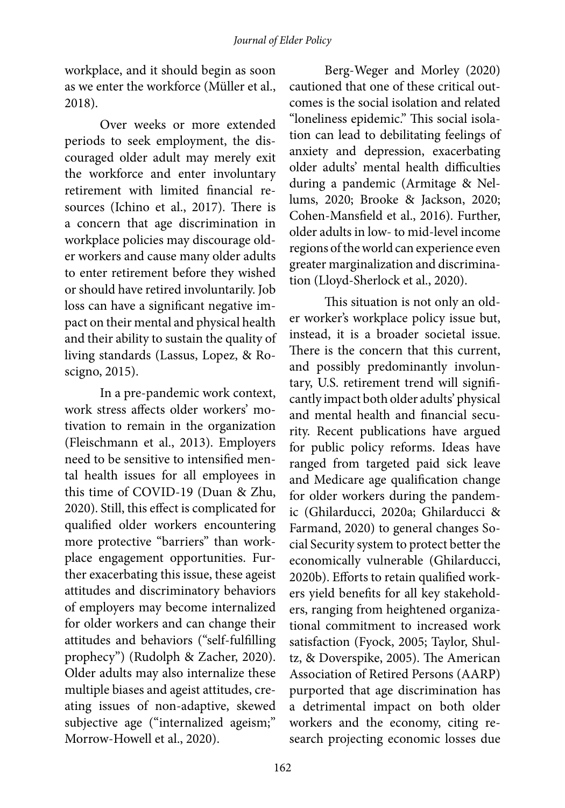workplace, and it should begin as soon as we enter the workforce (Müller et al., 2018).

Over weeks or more extended periods to seek employment, the discouraged older adult may merely exit the workforce and enter involuntary retirement with limited financial resources (Ichino et al., 2017). There is a concern that age discrimination in workplace policies may discourage older workers and cause many older adults to enter retirement before they wished or should have retired involuntarily. Job loss can have a significant negative impact on their mental and physical health and their ability to sustain the quality of living standards (Lassus, Lopez, & Roscigno, 2015).

In a pre-pandemic work context, work stress affects older workers' motivation to remain in the organization (Fleischmann et al., 2013). Employers need to be sensitive to intensified mental health issues for all employees in this time of COVID-19 (Duan & Zhu, 2020). Still, this effect is complicated for qualified older workers encountering more protective "barriers" than workplace engagement opportunities. Further exacerbating this issue, these ageist attitudes and discriminatory behaviors of employers may become internalized for older workers and can change their attitudes and behaviors ("self-fulfilling prophecy") (Rudolph & Zacher, 2020). Older adults may also internalize these multiple biases and ageist attitudes, creating issues of non-adaptive, skewed subjective age ("internalized ageism;" Morrow-Howell et al., 2020).

Berg-Weger and Morley (2020) cautioned that one of these critical outcomes is the social isolation and related "loneliness epidemic." This social isolation can lead to debilitating feelings of anxiety and depression, exacerbating older adults' mental health difficulties during a pandemic (Armitage & Nellums, 2020; Brooke & Jackson, 2020; Cohen-Mansfield et al., 2016). Further, older adults in low- to mid-level income regions of the world can experience even greater marginalization and discrimination (Lloyd-Sherlock et al., 2020).

This situation is not only an older worker's workplace policy issue but, instead, it is a broader societal issue. There is the concern that this current, and possibly predominantly involuntary, U.S. retirement trend will significantly impact both older adults' physical and mental health and financial security. Recent publications have argued for public policy reforms. Ideas have ranged from targeted paid sick leave and Medicare age qualification change for older workers during the pandemic (Ghilarducci, 2020a; Ghilarducci & Farmand, 2020) to general changes Social Security system to protect better the economically vulnerable (Ghilarducci, 2020b). Efforts to retain qualified workers yield benefits for all key stakeholders, ranging from heightened organizational commitment to increased work satisfaction (Fyock, 2005; Taylor, Shultz, & Doverspike, 2005). The American Association of Retired Persons (AARP) purported that age discrimination has a detrimental impact on both older workers and the economy, citing research projecting economic losses due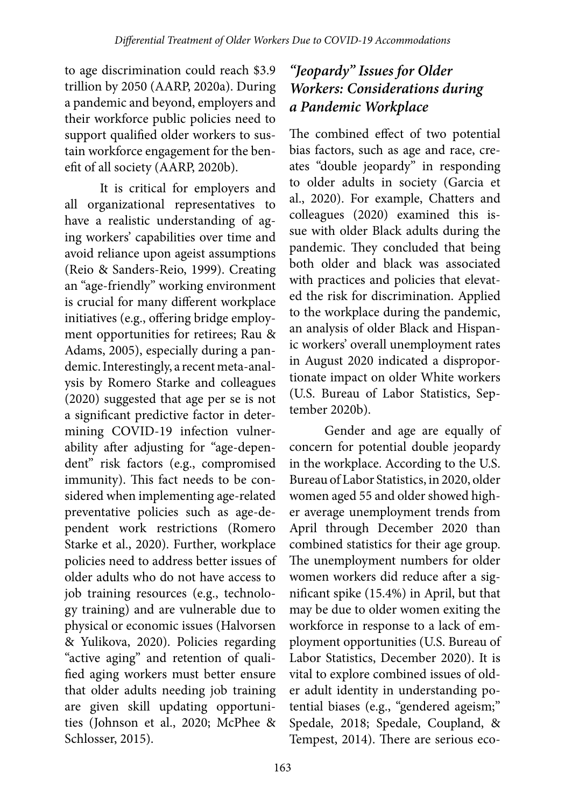to age discrimination could reach \$3.9 trillion by 2050 (AARP, 2020a). During a pandemic and beyond, employers and their workforce public policies need to support qualified older workers to sustain workforce engagement for the benefit of all society (AARP, 2020b).

It is critical for employers and all organizational representatives to have a realistic understanding of aging workers' capabilities over time and avoid reliance upon ageist assumptions (Reio & Sanders-Reio, 1999). Creating an "age-friendly" working environment is crucial for many different workplace initiatives (e.g., offering bridge employment opportunities for retirees; Rau & Adams, 2005), especially during a pandemic. Interestingly, a recent meta-analysis by Romero Starke and colleagues (2020) suggested that age per se is not a significant predictive factor in determining COVID-19 infection vulnerability after adjusting for "age-dependent" risk factors (e.g., compromised immunity). This fact needs to be considered when implementing age-related preventative policies such as age-dependent work restrictions (Romero Starke et al., 2020). Further, workplace policies need to address better issues of older adults who do not have access to job training resources (e.g., technology training) and are vulnerable due to physical or economic issues (Halvorsen & Yulikova, 2020). Policies regarding "active aging" and retention of qualified aging workers must better ensure that older adults needing job training are given skill updating opportunities (Johnson et al., 2020; McPhee & Schlosser, 2015).

## *"Jeopardy" Issues for Older Workers: Considerations during a Pandemic Workplace*

The combined effect of two potential bias factors, such as age and race, creates "double jeopardy" in responding to older adults in society (Garcia et al., 2020). For example, Chatters and colleagues (2020) examined this issue with older Black adults during the pandemic. They concluded that being both older and black was associated with practices and policies that elevated the risk for discrimination. Applied to the workplace during the pandemic, an analysis of older Black and Hispanic workers' overall unemployment rates in August 2020 indicated a disproportionate impact on older White workers (U.S. Bureau of Labor Statistics, September 2020b).

Gender and age are equally of concern for potential double jeopardy in the workplace. According to the U.S. Bureau of Labor Statistics, in 2020, older women aged 55 and older showed higher average unemployment trends from April through December 2020 than combined statistics for their age group. The unemployment numbers for older women workers did reduce after a significant spike (15.4%) in April, but that may be due to older women exiting the workforce in response to a lack of employment opportunities (U.S. Bureau of Labor Statistics, December 2020). It is vital to explore combined issues of older adult identity in understanding potential biases (e.g., "gendered ageism;" Spedale, 2018; Spedale, Coupland, & Tempest, 2014). There are serious eco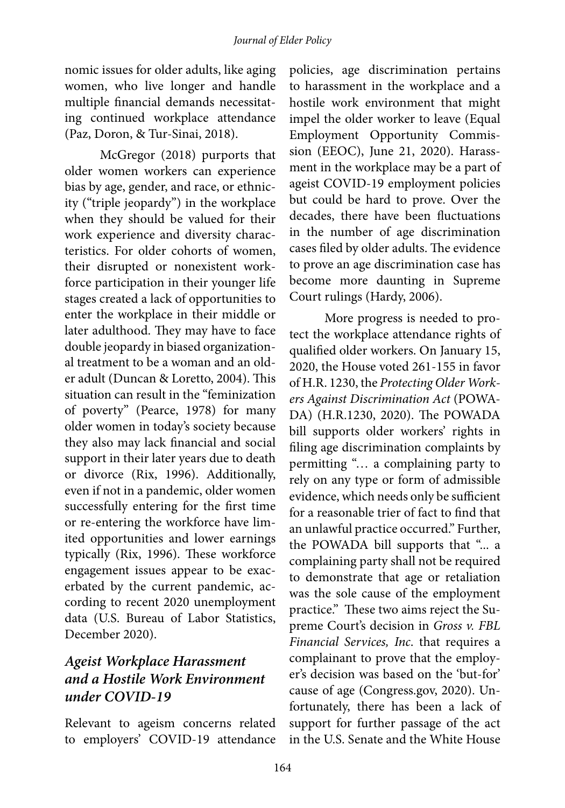nomic issues for older adults, like aging women, who live longer and handle multiple financial demands necessitating continued workplace attendance (Paz, Doron, & Tur-Sinai, 2018).

McGregor (2018) purports that older women workers can experience bias by age, gender, and race, or ethnicity ("triple jeopardy") in the workplace when they should be valued for their work experience and diversity characteristics. For older cohorts of women, their disrupted or nonexistent workforce participation in their younger life stages created a lack of opportunities to enter the workplace in their middle or later adulthood. They may have to face double jeopardy in biased organizational treatment to be a woman and an older adult (Duncan & Loretto, 2004). This situation can result in the "feminization of poverty" (Pearce, 1978) for many older women in today's society because they also may lack financial and social support in their later years due to death or divorce (Rix, 1996). Additionally, even if not in a pandemic, older women successfully entering for the first time or re-entering the workforce have limited opportunities and lower earnings typically (Rix, 1996). These workforce engagement issues appear to be exacerbated by the current pandemic, according to recent 2020 unemployment data (U.S. Bureau of Labor Statistics, December 2020).

### *Ageist Workplace Harassment and a Hostile Work Environment under COVID-19*

Relevant to ageism concerns related to employers' COVID-19 attendance policies, age discrimination pertains to harassment in the workplace and a hostile work environment that might impel the older worker to leave (Equal Employment Opportunity Commission (EEOC), June 21, 2020). Harassment in the workplace may be a part of ageist COVID-19 employment policies but could be hard to prove. Over the decades, there have been fluctuations in the number of age discrimination cases filed by older adults. The evidence to prove an age discrimination case has become more daunting in Supreme Court rulings (Hardy, 2006).

More progress is needed to protect the workplace attendance rights of qualified older workers. On January 15, 2020, the House voted 261-155 in favor of H.R. 1230, the *Protecting Older Workers Against Discrimination Act* (POWA-DA) (H.R.1230, 2020). The POWADA bill supports older workers' rights in filing age discrimination complaints by permitting "… a complaining party to rely on any type or form of admissible evidence, which needs only be sufficient for a reasonable trier of fact to find that an unlawful practice occurred." Further, the POWADA bill supports that "... a complaining party shall not be required to demonstrate that age or retaliation was the sole cause of the employment practice." These two aims reject the Supreme Court's decision in *Gross v. FBL Financial Services, Inc*. that requires a complainant to prove that the employer's decision was based on the 'but-for' cause of age (Congress.gov, 2020). Unfortunately, there has been a lack of support for further passage of the act in the U.S. Senate and the White House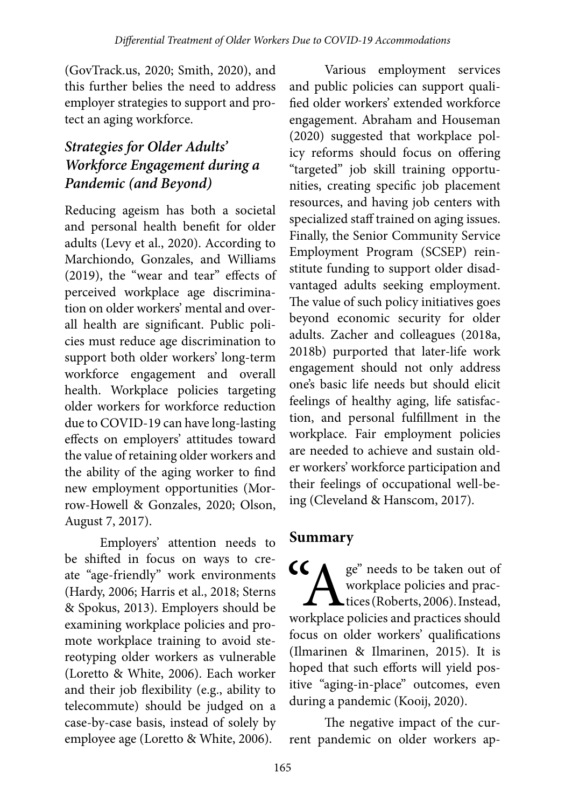(GovTrack.us, 2020; Smith, 2020), and this further belies the need to address employer strategies to support and protect an aging workforce.

## *Strategies for Older Adults' Workforce Engagement during a Pandemic (and Beyond)*

Reducing ageism has both a societal and personal health benefit for older adults (Levy et al., 2020). According to Marchiondo, Gonzales, and Williams (2019), the "wear and tear" effects of perceived workplace age discrimination on older workers' mental and overall health are significant. Public policies must reduce age discrimination to support both older workers' long-term workforce engagement and overall health. Workplace policies targeting older workers for workforce reduction due to COVID-19 can have long-lasting effects on employers' attitudes toward the value of retaining older workers and the ability of the aging worker to find new employment opportunities (Morrow-Howell & Gonzales, 2020; Olson, August 7, 2017).

Employers' attention needs to be shifted in focus on ways to create "age-friendly" work environments (Hardy, 2006; Harris et al., 2018; Sterns & Spokus, 2013). Employers should be examining workplace policies and promote workplace training to avoid stereotyping older workers as vulnerable (Loretto & White, 2006). Each worker and their job flexibility (e.g., ability to telecommute) should be judged on a case-by-case basis, instead of solely by employee age (Loretto & White, 2006).

Various employment services and public policies can support qualified older workers' extended workforce engagement. Abraham and Houseman (2020) suggested that workplace policy reforms should focus on offering "targeted" job skill training opportunities, creating specific job placement resources, and having job centers with specialized staff trained on aging issues. Finally, the Senior Community Service Employment Program (SCSEP) reinstitute funding to support older disadvantaged adults seeking employment. The value of such policy initiatives goes beyond economic security for older adults. Zacher and colleagues (2018a, 2018b) purported that later-life work engagement should not only address one's basic life needs but should elicit feelings of healthy aging, life satisfaction, and personal fulfillment in the workplace. Fair employment policies are needed to achieve and sustain older workers' workforce participation and their feelings of occupational well-being (Cleveland & Hanscom, 2017).

## **Summary**

CC<br>
Workplace policies and practices (Roberts, 2006). Instead,<br>
workplace policies and practices should workplace policies and prac- $\blacktriangle$ tices (Roberts, 2006). Instead, workplace policies and practices should focus on older workers' qualifications (Ilmarinen & Ilmarinen, 2015). It is hoped that such efforts will yield positive "aging-in-place" outcomes, even during a pandemic (Kooij, 2020).

The negative impact of the current pandemic on older workers ap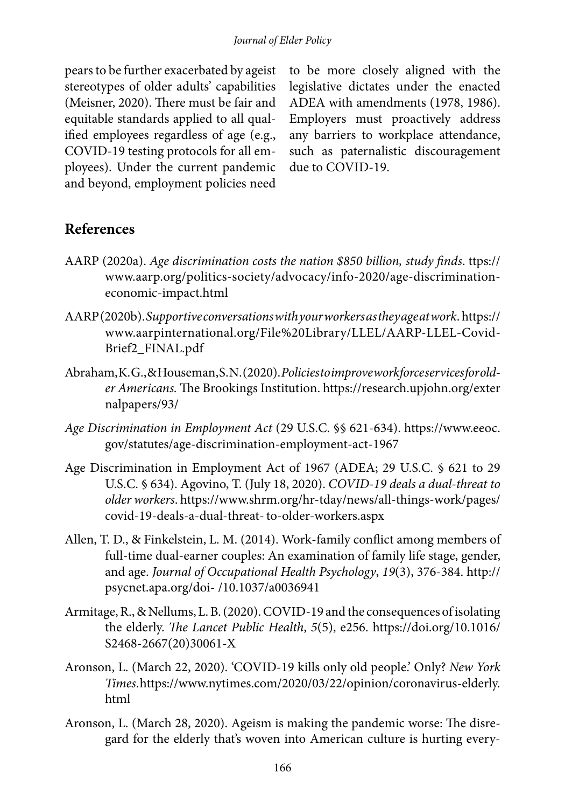pears to be further exacerbated by ageist stereotypes of older adults' capabilities (Meisner, 2020). There must be fair and equitable standards applied to all qualified employees regardless of age (e.g., COVID-19 testing protocols for all employees). Under the current pandemic and beyond, employment policies need to be more closely aligned with the legislative dictates under the enacted ADEA with amendments (1978, 1986). Employers must proactively address any barriers to workplace attendance, such as paternalistic discouragement due to COVID-19.

### **References**

- AARP (2020a). *Age discrimination costs the nation \$850 billion, study finds*. ttps:// www.aarp.org/politics-society/advocacy/info-2020/age-discriminationeconomic-impact.html
- AARP (2020b). *Supportive conversations with your workers as they age at work*. https:// www.aarpinternational.org/File%20Library/LLEL/AARP-LLEL-Covid-Brief2\_FINAL.pdf
- Abraham, K. G., & Houseman, S. N. (2020). *Policies to improve workforce services for older Americans.* The Brookings Institution. https://research.upjohn.org/exter nalpapers/93/
- *Age Discrimination in Employment Act* (29 U.S.C. §§ 621-634). https://www.eeoc. gov/statutes/age-discrimination-employment-act-1967
- Age Discrimination in Employment Act of 1967 (ADEA; 29 U.S.C. § 621 to 29 U.S.C. § 634). Agovino, T. (July 18, 2020). *COVID-19 deals a dual-threat to older workers*. https://www.shrm.org/hr-tday/news/all-things-work/pages/ covid-19-deals-a-dual-threat-to-older-workers.aspx
- Allen, T. D., & Finkelstein, L. M. (2014). Work-family conflict among members of full-time dual-earner couples: An examination of family life stage, gender, and age. *Journal of Occupational Health Psychology*, *19*(3), 376-384. http:// psycnet.apa.org/doi- /10.1037/a0036941
- Armitage, R., & Nellums, L. B. (2020). COVID-19 and the consequences of isolating the elderly. *The Lancet Public Health*, *5*(5), e256. https://doi.org/10.1016/ S2468-2667(20)30061-X
- Aronson, L. (March 22, 2020). 'COVID-19 kills only old people.' Only? *New York Times*. https://www.nytimes.com/2020/03/22/opinion/coronavirus-elderly. html
- Aronson, L. (March 28, 2020). Ageism is making the pandemic worse: The disregard for the elderly that's woven into American culture is hurting every-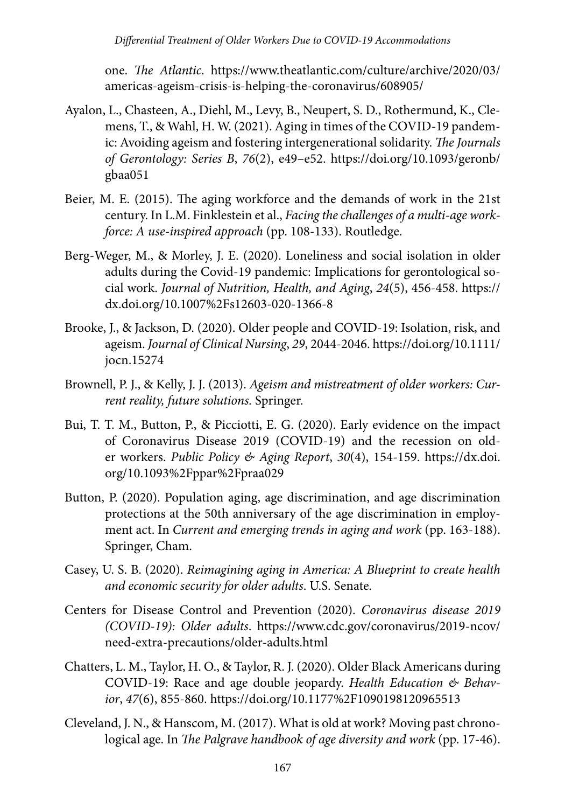one. *The Atlantic*. https://www.theatlantic.com/culture/archive/2020/03/ americas-ageism-crisis-is-helping-the-coronavirus/608905/

- Ayalon, L., Chasteen, A., Diehl, M., Levy, B., Neupert, S. D., Rothermund, K., Clemens, T., & Wahl, H. W. (2021). Aging in times of the COVID-19 pandemic: Avoiding ageism and fostering intergenerational solidarity. *The Journals of Gerontology: Series B*, *76*(2), e49–e52. https://doi.org/10.1093/geronb/ gbaa051
- Beier, M. E. (2015). The aging workforce and the demands of work in the 21st century. In L.M. Finklestein et al., *Facing the challenges of a multi-age workforce: A use-inspired approach* (pp. 108-133). Routledge.
- Berg-Weger, M., & Morley, J. E. (2020). Loneliness and social isolation in older adults during the Covid-19 pandemic: Implications for gerontological social work. *Journal of Nutrition, Health, and Aging*, *24*(5), 456-458. https:// dx.doi.org/10.1007%2Fs12603-020-1366-8
- Brooke, J., & Jackson, D. (2020). Older people and COVID‐19: Isolation, risk, and ageism. *Journal of Clinical Nursing*, *29*, 2044-2046. https://doi.org/10.1111/ jocn.15274
- Brownell, P. J., & Kelly, J. J. (2013). *Ageism and mistreatment of older workers: Current reality, future solutions.* Springer.
- Bui, T. T. M., Button, P., & Picciotti, E. G. (2020). Early evidence on the impact of Coronavirus Disease 2019 (COVID-19) and the recession on older workers. *Public Policy & Aging Report*, *30*(4), 154-159. https://dx.doi. org/10.1093%2Fppar%2Fpraa029
- Button, P. (2020). Population aging, age discrimination, and age discrimination protections at the 50th anniversary of the age discrimination in employment act. In *Current and emerging trends in aging and work* (pp. 163-188). Springer, Cham.
- Casey, U. S. B. (2020). *Reimagining aging in America: A Blueprint to create health and economic security for older adults*. U.S. Senate.
- Centers for Disease Control and Prevention (2020). *Coronavirus disease 2019 (COVID-19): Older adults*. https://www.cdc.gov/coronavirus/2019-ncov/ need-extra-precautions/older-adults.html
- Chatters, L. M., Taylor, H. O., & Taylor, R. J. (2020). Older Black Americans during COVID-19: Race and age double jeopardy. *Health Education & Behavior*, *47*(6), 855-860. https://doi.org/10.1177%2F1090198120965513
- Cleveland, J. N., & Hanscom, M. (2017). What is old at work? Moving past chronological age. In *The Palgrave handbook of age diversity and work* (pp. 17-46).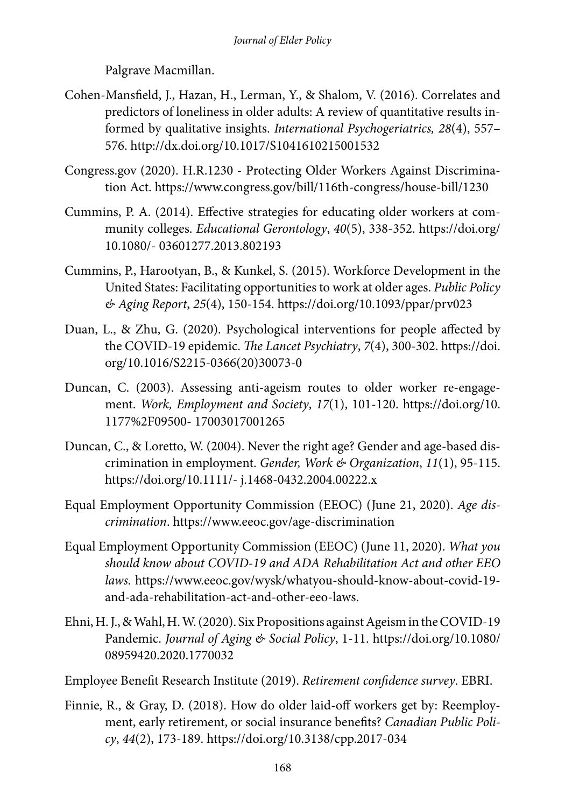Palgrave Macmillan.

- Cohen‐Mansfield, J., Hazan, H., Lerman, Y., & Shalom, V. (2016). Correlates and predictors of loneliness in older adults: A review of quantitative results informed by qualitative insights. *International Psychogeriatrics, 28*(4), 557– 576. http://dx.doi.org/10.1017/S1041610215001532
- Congress.gov (2020). H.R.1230 Protecting Older Workers Against Discrimination Act. https://www.congress.gov/bill/116th-congress/house-bill/1230
- Cummins, P. A. (2014). Effective strategies for educating older workers at community colleges. *Educational Gerontology*, *40*(5), 338-352. https://doi.org/ 10.1080/- 03601277.2013.802193
- Cummins, P., Harootyan, B., & Kunkel, S. (2015). Workforce Development in the United States: Facilitating opportunities to work at older ages. *Public Policy & Aging Report*, *25*(4), 150-154. https://doi.org/10.1093/ppar/prv023
- Duan, L., & Zhu, G. (2020). Psychological interventions for people affected by the COVID-19 epidemic. *The Lancet Psychiatry*, *7*(4), 300-302. https://doi. org/10.1016/S2215-0366(20)30073-0
- Duncan, C. (2003). Assessing anti-ageism routes to older worker re-engagement. *Work, Employment and Society*, *17*(1), 101-120. https://doi.org/10. 1177%2F09500- 17003017001265
- Duncan, C., & Loretto, W. (2004). Never the right age? Gender and age-based discrimination in employment. *Gender, Work & Organization*, *11*(1), 95-115. https://doi.org/10.1111/- j.1468-0432.2004.00222.x
- Equal Employment Opportunity Commission (EEOC) (June 21, 2020). *Age discrimination*. https://www.eeoc.gov/age-discrimination
- Equal Employment Opportunity Commission (EEOC) (June 11, 2020). *What you should know about COVID-19 and ADA Rehabilitation Act and other EEO laws.* https://www.eeoc.gov/wysk/whatyou-should-know-about-covid-19 and-ada-rehabilitation-act-and-other-eeo-laws.
- Ehni, H. J., & Wahl, H. W. (2020). Six Propositions against Ageism in the COVID-19 Pandemic. *Journal of Aging & Social Policy*, 1-11. https://doi.org/10.1080/ 08959420.2020.1770032
- Employee Benefit Research Institute (2019). *Retirement confidence survey*. EBRI.
- Finnie, R., & Gray, D. (2018). How do older laid-off workers get by: Reemployment, early retirement, or social insurance benefits? *Canadian Public Policy*, *44*(2), 173-189. https://doi.org/10.3138/cpp.2017-034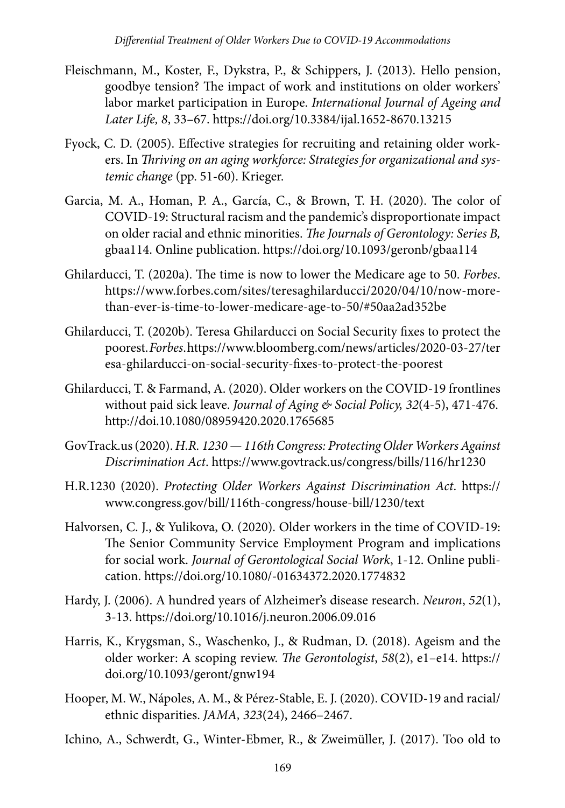- Fleischmann, M., Koster, F., Dykstra, P., & Schippers, J. (2013). Hello pension, goodbye tension? The impact of work and institutions on older workers' labor market participation in Europe. *International Journal of Ageing and Later Life, 8*, 33–67. https://doi.org/10.3384/ijal.1652-8670.13215
- Fyock, C. D. (2005). Effective strategies for recruiting and retaining older workers. In *Thriving on an aging workforce: Strategies for organizational and systemic change* (pp. 51-60). Krieger.
- Garcia, M. A., Homan, P. A., García, C., & Brown, T. H. (2020). The color of COVID-19: Structural racism and the pandemic's disproportionate impact on older racial and ethnic minorities. *The Journals of Gerontology: Series B,*  gbaa114. Online publication. https://doi.org/10.1093/geronb/gbaa114
- Ghilarducci, T. (2020a). The time is now to lower the Medicare age to 50. *Forbes*. https://www.forbes.com/sites/teresaghilarducci/2020/04/10/now-morethan-ever-is-time-to-lower-medicare-age-to-50/#50aa2ad352be
- Ghilarducci, T. (2020b). Teresa Ghilarducci on Social Security fixes to protect the poorest. *Forbes*. https://www.bloomberg.com/news/articles/2020-03-27/ter esa-ghilarducci-on-social-security-fixes-to-protect-the-poorest
- Ghilarducci, T. & Farmand, A. (2020). Older workers on the COVID-19 frontlines without paid sick leave. *Journal of Aging & Social Policy, 32*(4-5), 471-476. http://doi.10.1080/08959420.2020.1765685
- GovTrack.us (2020). *H.R. 1230 116th Congress: Protecting Older Workers Against Discrimination Act*. https://www.govtrack.us/congress/bills/116/hr1230
- H.R.1230 (2020). *Protecting Older Workers Against Discrimination Act*. https:// www.congress.gov/bill/116th-congress/house-bill/1230/text
- Halvorsen, C. J., & Yulikova, O. (2020). Older workers in the time of COVID-19: The Senior Community Service Employment Program and implications for social work. *Journal of Gerontological Social Work*, 1-12. Online publication. https://doi.org/10.1080/-01634372.2020.1774832
- Hardy, J. (2006). A hundred years of Alzheimer's disease research. *Neuron*, *52*(1), 3-13. https://doi.org/10.1016/j.neuron.2006.09.016
- Harris, K., Krygsman, S., Waschenko, J., & Rudman, D. (2018). Ageism and the older worker: A scoping review. *The Gerontologist*, *58*(2), e1–e14. https:// doi.org/10.1093/geront/gnw194
- Hooper, M. W., Nápoles, A. M., & Pérez-Stable, E. J. (2020). COVID-19 and racial/ ethnic disparities. *JAMA, 323*(24), 2466–2467.
- Ichino, A., Schwerdt, G., Winter-Ebmer, R., & Zweimüller, J. (2017). Too old to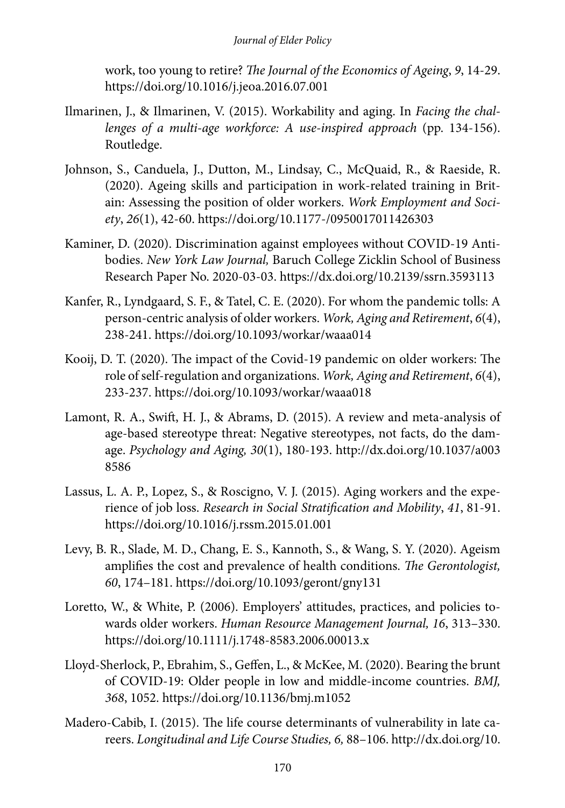work, too young to retire? *The Journal of the Economics of Ageing*, *9*, 14-29. https://doi.org/10.1016/j.jeoa.2016.07.001

- Ilmarinen, J., & Ilmarinen, V. (2015). Workability and aging. In *Facing the challenges of a multi-age workforce: A use-inspired approach* (pp. 134-156). Routledge.
- Johnson, S., Canduela, J., Dutton, M., Lindsay, C., McQuaid, R., & Raeside, R. (2020). Ageing skills and participation in work-related training in Britain: Assessing the position of older workers. *Work Employment and Society*, *26*(1), 42-60. https://doi.org/10.1177-/0950017011426303
- Kaminer, D. (2020). Discrimination against employees without COVID-19 Antibodies. *New York Law Journal,* Baruch College Zicklin School of Business Research Paper No. 2020-03-03. https://dx.doi.org/10.2139/ssrn.3593113
- Kanfer, R., Lyndgaard, S. F., & Tatel, C. E. (2020). For whom the pandemic tolls: A person-centric analysis of older workers. *Work, Aging and Retirement*, *6*(4), 238-241. https://doi.org/10.1093/workar/waaa014
- Kooij, D. T. (2020). The impact of the Covid-19 pandemic on older workers: The role of self-regulation and organizations. *Work, Aging and Retirement*, *6*(4), 233-237. https://doi.org/10.1093/workar/waaa018
- Lamont, R. A., Swift, H. J., & Abrams, D. (2015). A review and meta-analysis of age-based stereotype threat: Negative stereotypes, not facts, do the damage. *Psychology and Aging, 30*(1), 180-193. http://dx.doi.org/10.1037/a003 8586
- Lassus, L. A. P., Lopez, S., & Roscigno, V. J. (2015). Aging workers and the experience of job loss. *Research in Social Stratification and Mobility*, *41*, 81-91. https://doi.org/10.1016/j.rssm.2015.01.001
- Levy, B. R., Slade, M. D., Chang, E. S., Kannoth, S., & Wang, S. Y. (2020). Ageism amplifies the cost and prevalence of health conditions. *The Gerontologist, 60*, 174–181. https://doi.org/10.1093/geront/gny131
- Loretto, W., & White, P. (2006). Employers' attitudes, practices, and policies towards older workers. *Human Resource Management Journal, 16*, 313–330. https://doi.org/10.1111/j.1748-8583.2006.00013.x
- Lloyd-Sherlock, P., Ebrahim, S., Geffen, L., & McKee, M. (2020). Bearing the brunt of COVID-19: Older people in low and middle-income countries. *BMJ, 368*, 1052. https://doi.org/10.1136/bmj.m1052
- Madero-Cabib, I. (2015). The life course determinants of vulnerability in late careers. *Longitudinal and Life Course Studies, 6,* 88–106. http://dx.doi.org/10.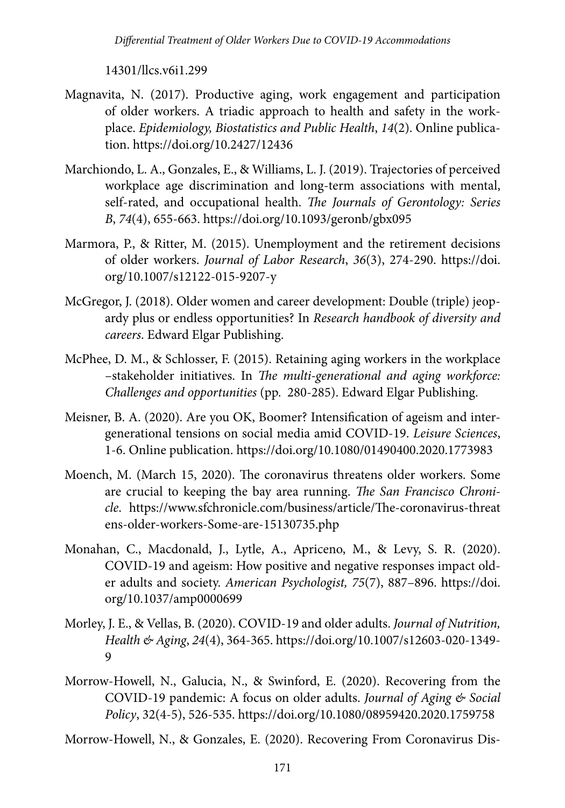*Differential Treatment of Older Workers Due to COVID-19 Accommodations*

14301/llcs.v6i1.299

- Magnavita, N. (2017). Productive aging, work engagement and participation of older workers. A triadic approach to health and safety in the workplace. *Epidemiology, Biostatistics and Public Health*, *14*(2). Online publication. https://doi.org/10.2427/12436
- Marchiondo, L. A., Gonzales, E., & Williams, L. J. (2019). Trajectories of perceived workplace age discrimination and long-term associations with mental, self-rated, and occupational health. *The Journals of Gerontology: Series B*, *74*(4), 655-663. https://doi.org/10.1093/geronb/gbx095
- Marmora, P., & Ritter, M. (2015). Unemployment and the retirement decisions of older workers. *Journal of Labor Research*, *36*(3), 274-290. https://doi. org/10.1007/s12122-015-9207-y
- McGregor, J. (2018). Older women and career development: Double (triple) jeopardy plus or endless opportunities? In *Research handbook of diversity and careers*. Edward Elgar Publishing.
- McPhee, D. M., & Schlosser, F. (2015). Retaining aging workers in the workplace –stakeholder initiatives. In *The multi-generational and aging workforce: Challenges and opportunities* (pp. 280-285). Edward Elgar Publishing.
- Meisner, B. A. (2020). Are you OK, Boomer? Intensification of ageism and intergenerational tensions on social media amid COVID-19. *Leisure Sciences*, 1-6. Online publication. https://doi.org/10.1080/01490400.2020.1773983
- Moench, M. (March 15, 2020). The coronavirus threatens older workers. Some are crucial to keeping the bay area running. *The San Francisco Chronicle*. https://www.sfchronicle.com/business/article/The-coronavirus-threat ens-older-workers-Some-are-15130735.php
- Monahan, C., Macdonald, J., Lytle, A., Apriceno, M., & Levy, S. R. (2020). COVID-19 and ageism: How positive and negative responses impact older adults and society. *American Psychologist, 75*(7), 887–896. https://doi. org/10.1037/amp0000699
- Morley, J. E., & Vellas, B. (2020). COVID-19 and older adults. *Journal of Nutrition, Health & Aging*, *24*(4), 364-365. https://doi.org/10.1007/s12603-020-1349- 9
- Morrow-Howell, N., Galucia, N., & Swinford, E. (2020). Recovering from the COVID-19 pandemic: A focus on older adults. *Journal of Aging & Social Policy*, 32(4-5), 526-535. https://doi.org/10.1080/08959420.2020.1759758

Morrow-Howell, N., & Gonzales, E. (2020). Recovering From Coronavirus Dis-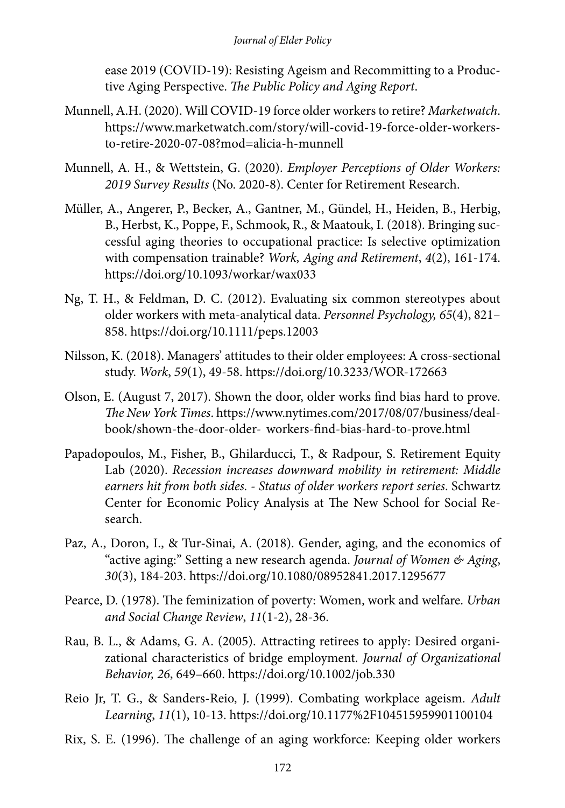ease 2019 (COVID-19): Resisting Ageism and Recommitting to a Productive Aging Perspective. *The Public Policy and Aging Report*.

- Munnell, A.H. (2020). Will COVID-19 force older workers to retire? *Marketwatch*. https://www.marketwatch.com/story/will-covid-19-force-older-workersto-retire-2020-07-08?mod=alicia-h-munnell
- Munnell, A. H., & Wettstein, G. (2020). *Employer Perceptions of Older Workers: 2019 Survey Results* (No. 2020-8). Center for Retirement Research.
- Müller, A., Angerer, P., Becker, A., Gantner, M., Gündel, H., Heiden, B., Herbig, B., Herbst, K., Poppe, F., Schmook, R., & Maatouk, I. (2018). Bringing successful aging theories to occupational practice: Is selective optimization with compensation trainable? *Work, Aging and Retirement*, *4*(2), 161-174. https://doi.org/10.1093/workar/wax033
- Ng, T. H., & Feldman, D. C. (2012). Evaluating six common stereotypes about older workers with meta-analytical data. *Personnel Psychology, 65*(4), 821– 858. https://doi.org/10.1111/peps.12003
- Nilsson, K. (2018). Managers' attitudes to their older employees: A cross-sectional study. *Work*, *59*(1), 49-58. https://doi.org/10.3233/WOR-172663
- Olson, E. (August 7, 2017). Shown the door, older works find bias hard to prove. *The New York Times*. https://www.nytimes.com/2017/08/07/business/dealbook/shown-the-door-older- workers-find-bias-hard-to-prove.html
- Papadopoulos, M., Fisher, B., Ghilarducci, T., & Radpour, S. Retirement Equity Lab (2020). *Recession increases downward mobility in retirement: Middle earners hit from both sides. - Status of older workers report series*. Schwartz Center for Economic Policy Analysis at The New School for Social Research.
- Paz, A., Doron, I., & Tur-Sinai, A. (2018). Gender, aging, and the economics of "active aging:" Setting a new research agenda. *Journal of Women & Aging*, *30*(3), 184-203. https://doi.org/10.1080/08952841.2017.1295677
- Pearce, D. (1978). The feminization of poverty: Women, work and welfare. *Urban and Social Change Review*, *11*(1-2), 28-36.
- Rau, B. L., & Adams, G. A. (2005). Attracting retirees to apply: Desired organizational characteristics of bridge employment. *Journal of Organizational Behavior, 26*, 649–660. https://doi.org/10.1002/job.330
- Reio Jr, T. G., & Sanders-Reio, J. (1999). Combating workplace ageism. *Adult Learning*, *11*(1), 10-13. https://doi.org/10.1177%2F104515959901100104
- Rix, S. E. (1996). The challenge of an aging workforce: Keeping older workers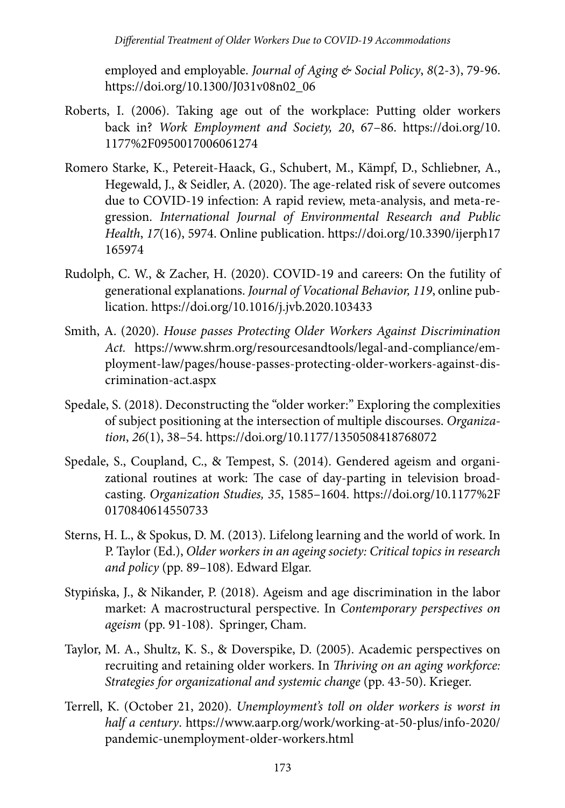employed and employable. *Journal of Aging & Social Policy*, *8*(2-3), 79-96. https://doi.org/10.1300/J031v08n02\_06

- Roberts, I. (2006). Taking age out of the workplace: Putting older workers back in? *Work Employment and Society, 20*, 67–86. https://doi.org/10. 1177%2F0950017006061274
- Romero Starke, K., Petereit-Haack, G., Schubert, M., Kämpf, D., Schliebner, A., Hegewald, J., & Seidler, A. (2020). The age-related risk of severe outcomes due to COVID-19 infection: A rapid review, meta-analysis, and meta-regression. *International Journal of Environmental Research and Public Health*, *17*(16), 5974. Online publication. https://doi.org/10.3390/ijerph17 165974
- Rudolph, C. W., & Zacher, H. (2020). COVID-19 and careers: On the futility of generational explanations. *Journal of Vocational Behavior, 119*, online publication. https://doi.org/10.1016/j.jvb.2020.103433
- Smith, A. (2020). *House passes Protecting Older Workers Against Discrimination Act.* https://www.shrm.org/resourcesandtools/legal-and-compliance/employment-law/pages/house-passes-protecting-older-workers-against-discrimination-act.aspx
- Spedale, S. (2018). Deconstructing the "older worker:" Exploring the complexities of subject positioning at the intersection of multiple discourses. *Organization*, *26*(1), 38–54. https://doi.org/10.1177/1350508418768072
- Spedale, S., Coupland, C., & Tempest, S. (2014). Gendered ageism and organizational routines at work: The case of day-parting in television broadcasting. *Organization Studies, 35*, 1585–1604. https://doi.org/10.1177%2F 0170840614550733
- Sterns, H. L., & Spokus, D. M. (2013). Lifelong learning and the world of work. In P. Taylor (Ed.), *Older workers in an ageing society: Critical topics in research and policy* (pp. 89–108). Edward Elgar.
- Stypińska, J., & Nikander, P. (2018). Ageism and age discrimination in the labor market: A macrostructural perspective. In *Contemporary perspectives on ageism* (pp. 91-108). Springer, Cham.
- Taylor, M. A., Shultz, K. S., & Doverspike, D. (2005). Academic perspectives on recruiting and retaining older workers. In *Thriving on an aging workforce: Strategies for organizational and systemic change* (pp. 43-50). Krieger.
- Terrell, K. (October 21, 2020). *Unemployment's toll on older workers is worst in half a century*. https://www.aarp.org/work/working-at-50-plus/info-2020/ pandemic-unemployment-older-workers.html